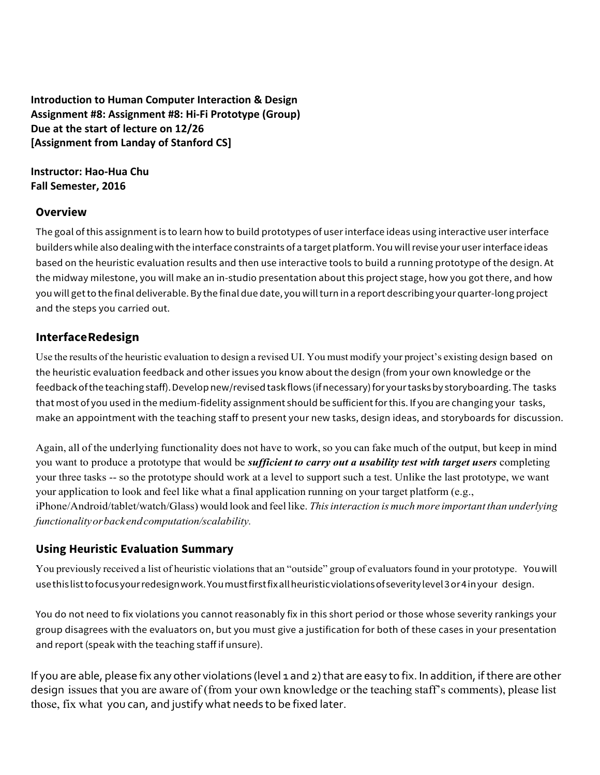**Introduction to Human Computer Interaction & Design** Assignment #8: Assignment #8: Hi-Fi Prototype (Group) **Due at the start of lecture on 12/26 [Assignment from Landay of Stanford CS]** 

#### **Instructor: Hao-Hua Chu Fall** Semester, 2016

### **Overview**

The goal ofthis assignmentis to learn how to build prototypes of user interface ideas using interactive user interface builders while also dealing with the interface constraints of a target platform. You will revise your user interface ideas based on the heuristic evaluation results and then use interactive tools to build a running prototype of the design. At the midway milestone, you will make an in-studio presentation about this project stage, how you got there, and how youwill getto the final deliverable.By the final due date, youwillturn in a report describing your quarter-long project and the steps you carried out.

## **InterfaceRedesign**

Use the results of the heuristic evaluation to design a revised UI. You must modify your project's existing design based on the heuristic evaluation feedback and other issues you know about the design (from your own knowledge or the feedback of the teaching staff). Develop new/revised task flows (if necessary) for your tasks by storyboarding. The tasks that most of you used in the medium-fidelity assignment should be sufficient for this. If you are changing your tasks, make an appointment with the teaching staff to present your new tasks, design ideas, and storyboards for discussion.

Again, all of the underlying functionality does not have to work,so you can fake much of the output, but keep in mind you want to produce a prototype that would be *sufficient to carry out a usability test with target users* completing your three tasks -- so the prototype should work at a level to support such a test. Unlike the last prototype, we want your application to look and feel like what a final application running on your target platform (e.g., iPhone/Android/tablet/watch/Glass) would look and feel like. *Thisinteraction is much more important than underlying functionalityorbackendcomputation/scalability.*

## **Using Heuristic Evaluation Summary**

You previously received a list of heuristic violations that an "outside" group of evaluators found in your prototype. You will usethislisttofocusyourredesignwork.Youmustfirstfixallheuristicviolationsofseveritylevel3or4inyour design.

You do not need to fix violations you cannot reasonably fix in this short period or those whose severity rankings your group disagrees with the evaluators on, but you must give a justification for both of these cases in your presentation and report (speak with the teaching staff if unsure).

If you are able, please fix any other violations (level 1 and 2) that are easy to fix. In addition, if there are other design issues that you are aware of (from your own knowledge or the teaching staff's comments), please list those, fix what you can, and justify what needs to be fixed later.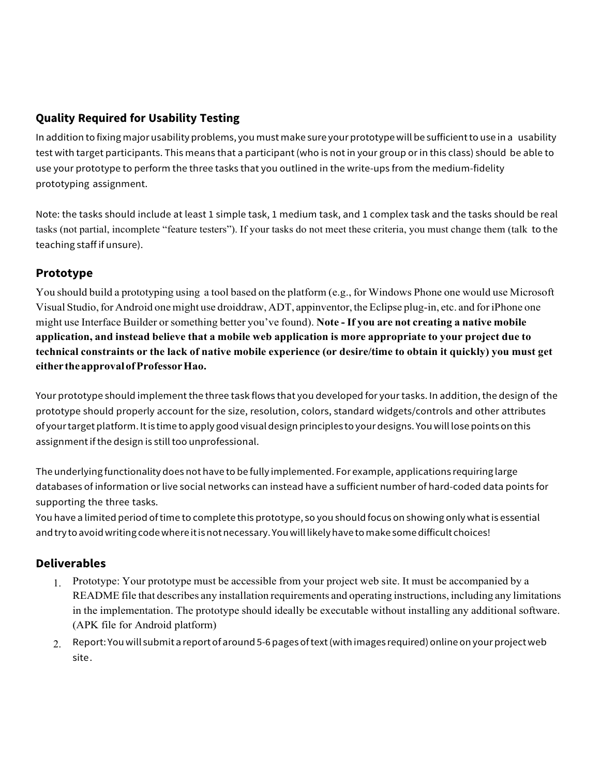# **Quality Required for Usability Testing**

In addition to fixing major usability problems, you must make sure your prototype will be sufficientto use in a usability test with target participants. This means that a participant (who is not in your group or in this class) should be able to use your prototype to perform the three tasks that you outlined in the write-ups from the medium-fidelity prototyping assignment.

Note: the tasks should include at least 1 simple task, 1 medium task, and 1 complex task and the tasks should be real tasks (not partial, incomplete "feature testers"). If your tasks do not meet these criteria, you must change them (talk to the teaching staff if unsure).

## **Prototype**

You should build a prototyping using a tool based on the platform (e.g., for Windows Phone one would use Microsoft Visual Studio, for Android one might use droiddraw, ADT, appinventor, the Eclipse plug-in, etc. and foriPhone one might use Interface Builder orsomething better you've found). **Note - If you are not creating a native mobile application, and instead believe that a mobile web application is more appropriate to your project due to** technical constraints or the lack of native mobile experience (or desire/time to obtain it quickly) you must get **either theapprovalofProfessorHao.**

Your prototype should implement the three task flows that you developed for your tasks. In addition, the design of the prototype should properly account for the size, resolution, colors, standard widgets/controls and other attributes of your target platform. It is time to apply good visual design principles to your designs. You will lose points on this assignment if the design is still too unprofessional.

The underlying functionality does not have to be fully implemented. For example, applications requiring large databases of information or live social networks can instead have a sufficient number of hard-coded data points for supporting the three tasks.

You have a limited period oftime to complete this prototype, so you should focus on showing only whatis essential and try to avoid writing code where it is not necessary. You will likely have to make some difficult choices!

## **Deliverables**

- 1. Prototype: Your prototype must be accessible from your project web site. It must be accompanied by a README file that describes any installation requirements and operating instructions, including any limitations in the implementation. The prototype should ideally be executable without installing any additional software. (APK file for Android platform)
- $_{2,-}$  Report: You will submit a report of around 5-6 pages of text (with images required) online on your project web site.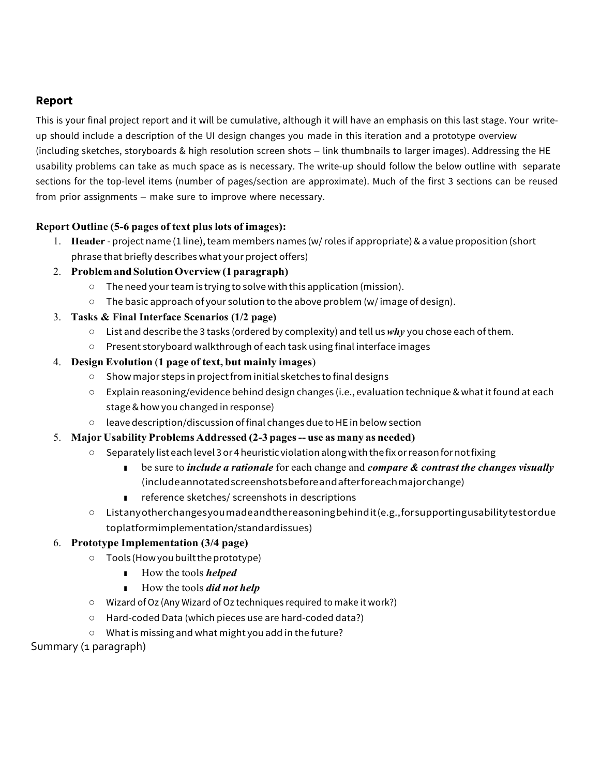#### **Report**

This is your final project report and it will be cumulative, although it will have an emphasis on this last stage. Your writeup should include a description of the UI design changes you made in this iteration and a prototype overview (including sketches, storyboards & high resolution screen shots – link thumbnails to larger images). Addressing the HE usability problems can take as much space as is necessary. The write-up should follow the below outline with separate sections for the top-level items (number of pages/section are approximate). Much of the first 3 sections can be reused from prior assignments – make sure to improve where necessary.

#### **Report Outline (5-6 pages of text plus lots of images):**

- 1. **Header** project name (1 line), team members names (w/ roles if appropriate) & a value proposition (short phrase that briefly describes what your project offers)
- 2. **ProblemandSolutionOverview(1paragraph)**
	- The need yourteam is trying to solve with this application (mission).
	- The basic approach of your solution to the above problem (w/image of design).
- 3. **Tasks & Final Interface Scenarios (1/2 page)**
	- List and describe the 3 tasks (ordered by complexity) and tell us*why* you chose each ofthem.
	- Present storyboard walkthrough of each task using final interface images

#### 4. **Design Evolution** (**1 page of text, but mainly images**)

- Show major steps in projectfrom initial sketches to final designs
- Explain reasoning/evidence behind design changes (i.e., evaluation technique & whatitfound at each stage&how you changed in response)
- leave description/discussion offinal changesdue toHE in belowsection
- 5. **Major Usability Problems Addressed (2-3 pages-- use as many as needed)**
	- Separately list eachlevel 3or 4heuristic violationalongwith the fixorreasonfornotfixing
		- be sure to *include a rationale* for each change and *compare & contrast the changes visually* (includeannotatedscreenshotsbeforeandafterforeachmajorchange)
		- reference sketches/ screenshots in descriptions
	- Listanyotherchangesyoumadeandthereasoningbehindit(e.g.,forsupportingusabilitytestordue toplatformimplementation/standardissues)

#### 6. **Prototype Implementation (3/4 page)**

- Tools (Howyoubuilttheprototype)
	- How the tools *helped*
	- How the tools *did not help*
- Wizard of Oz (Any Wizard of Oz techniques required to make it work?)
- Hard-coded Data (which pieces use are hard-coded data?)
- Whatis missing and what might you add in the future?

#### Summary (1 paragraph)